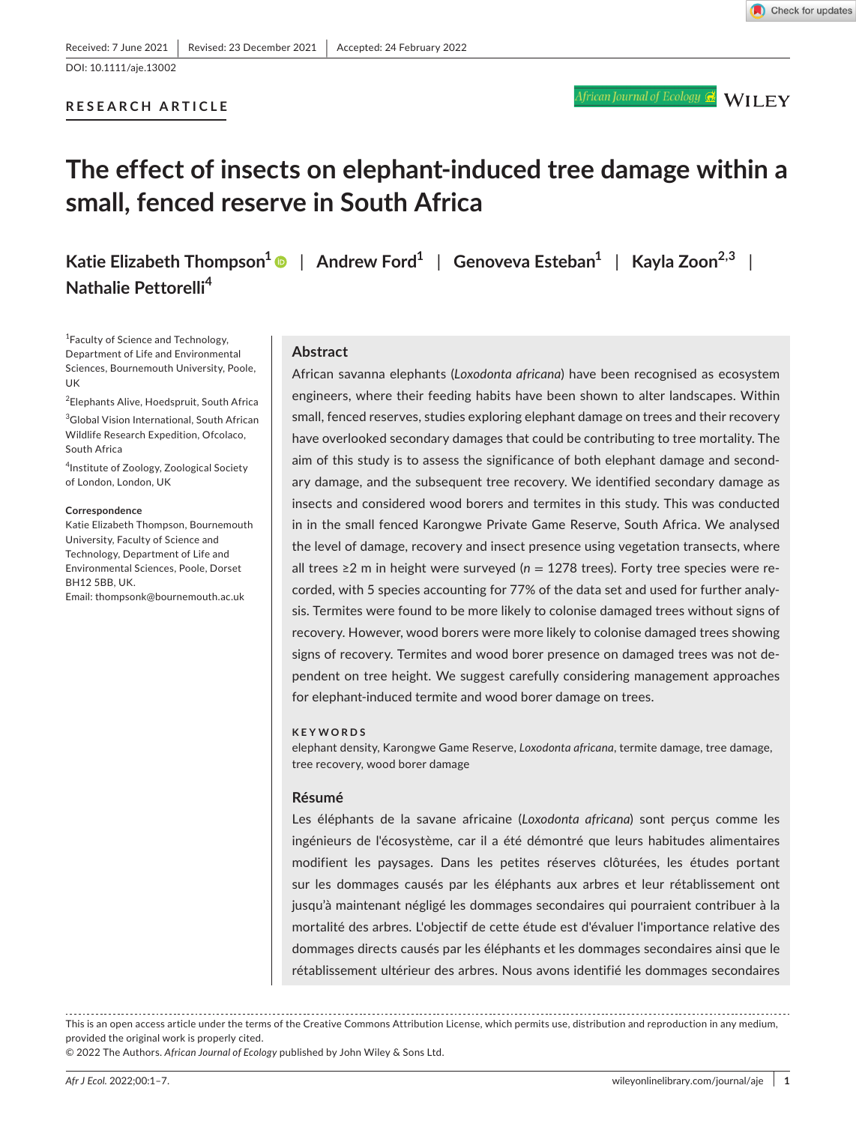DOI: 10.1111/aje.13002

## **RESEARCH ARTICLE**

# **The effect of insects on elephant-induced tree damage within a small, fenced reserve in South Africa**

**Katie Elizabeth Thompson[1](https://orcid.org/0000-0002-9027-6718)** | **Andrew Ford1** | **Genoveva Esteban1** | **Kayla Zoon2,3** | **Nathalie Pettorelli<sup>4</sup>**

1 Faculty of Science and Technology, Department of Life and Environmental Sciences, Bournemouth University, Poole, UK

2 Elephants Alive, Hoedspruit, South Africa

3 Global Vision International, South African Wildlife Research Expedition, Ofcolaco, South Africa

4 Institute of Zoology, Zoological Society of London, London, UK

#### **Correspondence**

Katie Elizabeth Thompson, Bournemouth University, Faculty of Science and Technology, Department of Life and Environmental Sciences, Poole, Dorset BH12 5BB, UK.

Email: [thompsonk@bournemouth.ac.uk](mailto:thompsonk@bournemouth.ac.uk)

#### **Abstract**

African savanna elephants (*Loxodonta africana*) have been recognised as ecosystem engineers, where their feeding habits have been shown to alter landscapes. Within small, fenced reserves, studies exploring elephant damage on trees and their recovery have overlooked secondary damages that could be contributing to tree mortality. The aim of this study is to assess the significance of both elephant damage and secondary damage, and the subsequent tree recovery. We identified secondary damage as insects and considered wood borers and termites in this study. This was conducted in in the small fenced Karongwe Private Game Reserve, South Africa. We analysed the level of damage, recovery and insect presence using vegetation transects, where all trees ≥2 m in height were surveyed (n = 1278 trees). Forty tree species were recorded, with 5 species accounting for 77% of the data set and used for further analysis. Termites were found to be more likely to colonise damaged trees without signs of recovery. However, wood borers were more likely to colonise damaged trees showing signs of recovery. Termites and wood borer presence on damaged trees was not dependent on tree height. We suggest carefully considering management approaches for elephant-induced termite and wood borer damage on trees.

#### **KEYWORDS**

elephant density, Karongwe Game Reserve, *Loxodonta africana*, termite damage, tree damage, tree recovery, wood borer damage

#### **Résumé**

Les éléphants de la savane africaine (*Loxodonta africana*) sont perçus comme les ingénieurs de l'écosystème, car il a été démontré que leurs habitudes alimentaires modifient les paysages. Dans les petites réserves clôturées, les études portant sur les dommages causés par les éléphants aux arbres et leur rétablissement ont jusqu'à maintenant négligé les dommages secondaires qui pourraient contribuer à la mortalité des arbres. L'objectif de cette étude est d'évaluer l'importance relative des dommages directs causés par les éléphants et les dommages secondaires ainsi que le rétablissement ultérieur des arbres. Nous avons identifié les dommages secondaires

This is an open access article under the terms of the [Creative Commons Attribution](http://creativecommons.org/licenses/by/4.0/) License, which permits use, distribution and reproduction in any medium, provided the original work is properly cited.

© 2022 The Authors. *African Journal of Ecology* published by John Wiley & Sons Ltd.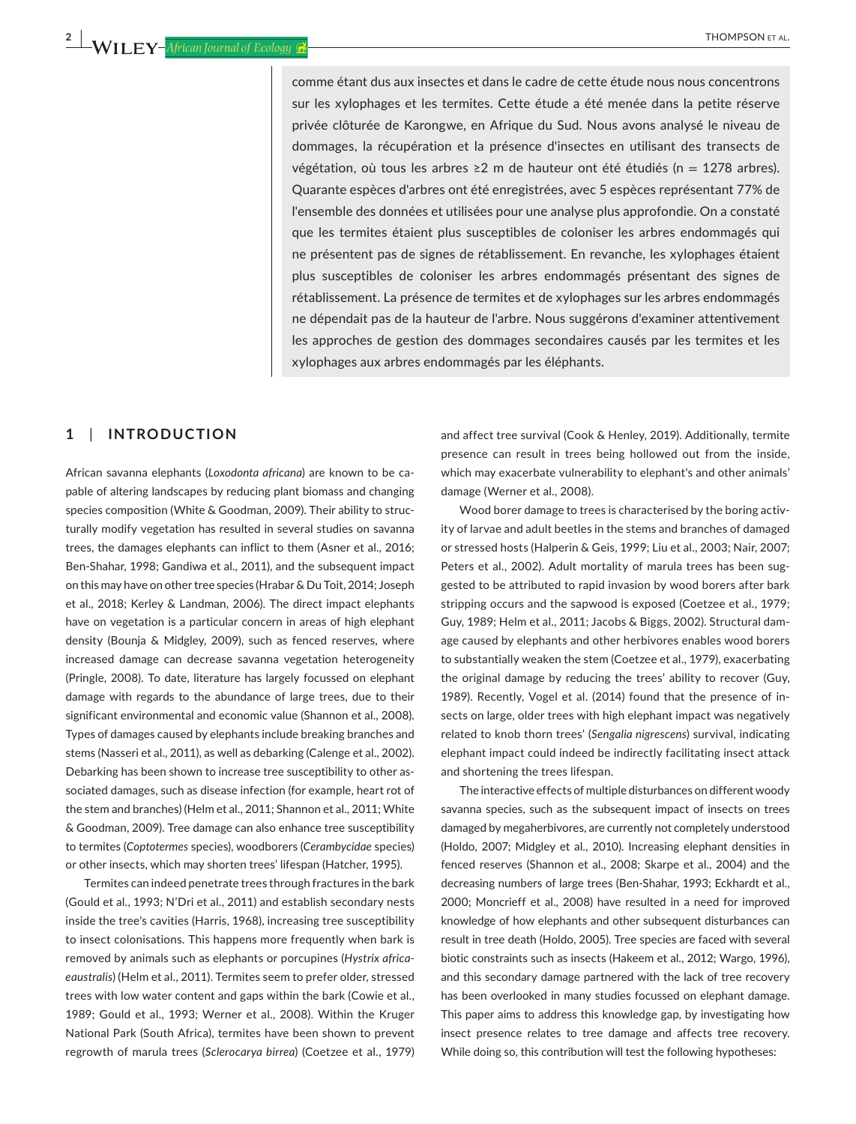comme étant dus aux insectes et dans le cadre de cette étude nous nous concentrons sur les xylophages et les termites. Cette étude a été menée dans la petite réserve privée clôturée de Karongwe, en Afrique du Sud. Nous avons analysé le niveau de dommages, la récupération et la présence d'insectes en utilisant des transects de végétation, où tous les arbres ≥2 m de hauteur ont été étudiés (n = 1278 arbres). Quarante espèces d'arbres ont été enregistrées, avec 5 espèces représentant 77% de l'ensemble des données et utilisées pour une analyse plus approfondie. On a constaté que les termites étaient plus susceptibles de coloniser les arbres endommagés qui ne présentent pas de signes de rétablissement. En revanche, les xylophages étaient plus susceptibles de coloniser les arbres endommagés présentant des signes de rétablissement. La présence de termites et de xylophages sur les arbres endommagés ne dépendait pas de la hauteur de l'arbre. Nous suggérons d'examiner attentivement les approches de gestion des dommages secondaires causés par les termites et les xylophages aux arbres endommagés par les éléphants.

## **1**  | **INTRODUCTION**

African savanna elephants (*Loxodonta africana*) are known to be capable of altering landscapes by reducing plant biomass and changing species composition (White & Goodman, 2009). Their ability to structurally modify vegetation has resulted in several studies on savanna trees, the damages elephants can inflict to them (Asner et al., 2016; Ben-Shahar, 1998; Gandiwa et al., 2011), and the subsequent impact on this may have on other tree species (Hrabar & Du Toit, 2014; Joseph et al., 2018; Kerley & Landman, 2006). The direct impact elephants have on vegetation is a particular concern in areas of high elephant density (Bounja & Midgley, 2009), such as fenced reserves, where increased damage can decrease savanna vegetation heterogeneity (Pringle, 2008). To date, literature has largely focussed on elephant damage with regards to the abundance of large trees, due to their significant environmental and economic value (Shannon et al., 2008). Types of damages caused by elephants include breaking branches and stems (Nasseri et al., 2011), as well as debarking (Calenge et al., 2002). Debarking has been shown to increase tree susceptibility to other associated damages, such as disease infection (for example, heart rot of the stem and branches) (Helm et al., 2011; Shannon et al., 2011; White & Goodman, 2009). Tree damage can also enhance tree susceptibility to termites (*Coptotermes* species), woodborers (*Cerambycidae* species) or other insects, which may shorten trees' lifespan (Hatcher, 1995).

Termites can indeed penetrate trees through fractures in the bark (Gould et al., 1993; N'Dri et al., 2011) and establish secondary nests inside the tree's cavities (Harris, 1968), increasing tree susceptibility to insect colonisations. This happens more frequently when bark is removed by animals such as elephants or porcupines (*Hystrix africaeaustralis*) (Helm et al., 2011). Termites seem to prefer older, stressed trees with low water content and gaps within the bark (Cowie et al., 1989; Gould et al., 1993; Werner et al., 2008). Within the Kruger National Park (South Africa), termites have been shown to prevent regrowth of marula trees (*Sclerocarya birrea*) (Coetzee et al., 1979)

and affect tree survival (Cook & Henley, 2019). Additionally, termite presence can result in trees being hollowed out from the inside, which may exacerbate vulnerability to elephant's and other animals' damage (Werner et al., 2008).

Wood borer damage to trees is characterised by the boring activity of larvae and adult beetles in the stems and branches of damaged or stressed hosts (Halperin & Geis, 1999; Liu et al., 2003; Nair, 2007; Peters et al., 2002). Adult mortality of marula trees has been suggested to be attributed to rapid invasion by wood borers after bark stripping occurs and the sapwood is exposed (Coetzee et al., 1979; Guy, 1989; Helm et al., 2011; Jacobs & Biggs, 2002). Structural damage caused by elephants and other herbivores enables wood borers to substantially weaken the stem (Coetzee et al., 1979), exacerbating the original damage by reducing the trees' ability to recover (Guy, 1989). Recently, Vogel et al. (2014) found that the presence of insects on large, older trees with high elephant impact was negatively related to knob thorn trees' (*Sengalia nigrescens*) survival, indicating elephant impact could indeed be indirectly facilitating insect attack and shortening the trees lifespan.

The interactive effects of multiple disturbances on different woody savanna species, such as the subsequent impact of insects on trees damaged by megaherbivores, are currently not completely understood (Holdo, 2007; Midgley et al., 2010). Increasing elephant densities in fenced reserves (Shannon et al., 2008; Skarpe et al., 2004) and the decreasing numbers of large trees (Ben-Shahar, 1993; Eckhardt et al., 2000; Moncrieff et al., 2008) have resulted in a need for improved knowledge of how elephants and other subsequent disturbances can result in tree death (Holdo, 2005). Tree species are faced with several biotic constraints such as insects (Hakeem et al., 2012; Wargo, 1996), and this secondary damage partnered with the lack of tree recovery has been overlooked in many studies focussed on elephant damage. This paper aims to address this knowledge gap, by investigating how insect presence relates to tree damage and affects tree recovery. While doing so, this contribution will test the following hypotheses: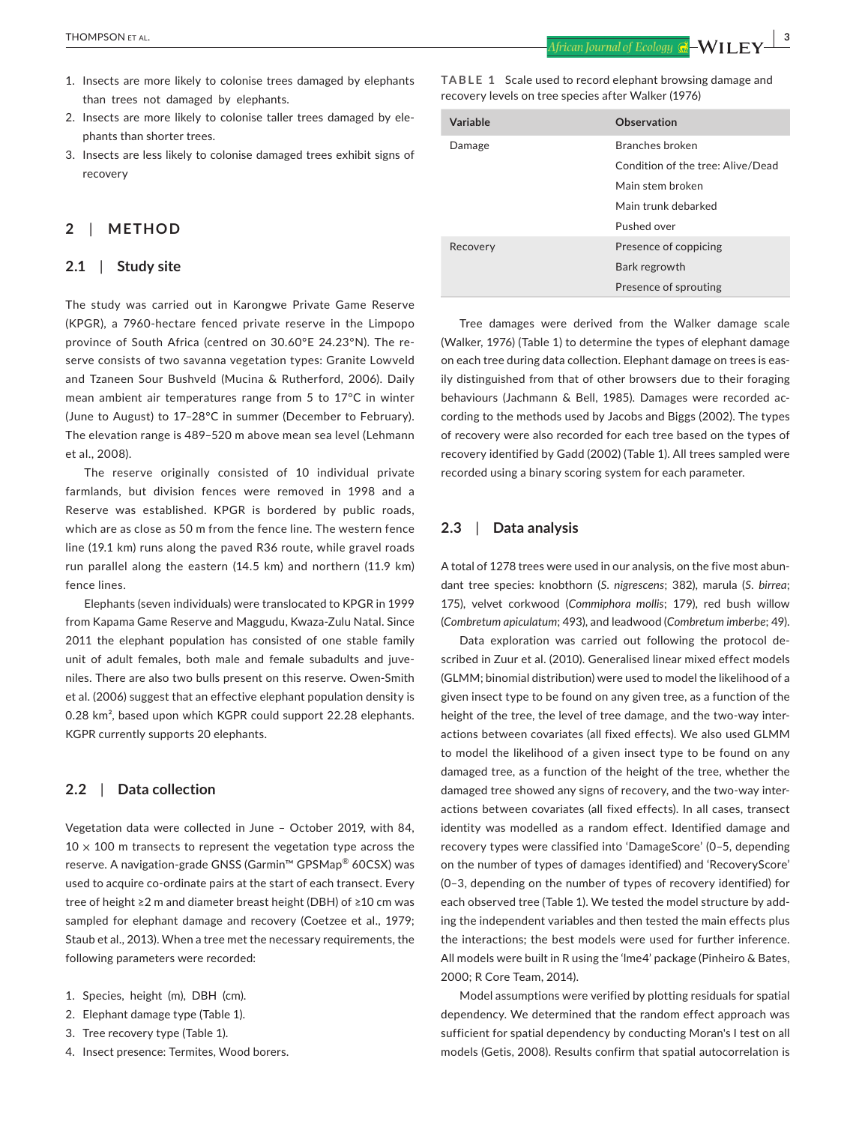- 1. Insects are more likely to colonise trees damaged by elephants than trees not damaged by elephants.
- 2. Insects are more likely to colonise taller trees damaged by elephants than shorter trees.
- 3. Insects are less likely to colonise damaged trees exhibit signs of recovery

# **2**  | **METHOD**

## **2.1**  | **Study site**

The study was carried out in Karongwe Private Game Reserve (KPGR), a 7960-hectare fenced private reserve in the Limpopo province of South Africa (centred on 30.60°E 24.23°N). The reserve consists of two savanna vegetation types: Granite Lowveld and Tzaneen Sour Bushveld (Mucina & Rutherford, 2006). Daily mean ambient air temperatures range from 5 to 17°C in winter (June to August) to 17–28°C in summer (December to February). The elevation range is 489–520 m above mean sea level (Lehmann et al., 2008).

The reserve originally consisted of 10 individual private farmlands, but division fences were removed in 1998 and a Reserve was established. KPGR is bordered by public roads, which are as close as 50 m from the fence line. The western fence line (19.1 km) runs along the paved R36 route, while gravel roads run parallel along the eastern (14.5 km) and northern (11.9 km) fence lines.

Elephants (seven individuals) were translocated to KPGR in 1999 from Kapama Game Reserve and Maggudu, Kwaza-Zulu Natal. Since 2011 the elephant population has consisted of one stable family unit of adult females, both male and female subadults and juveniles. There are also two bulls present on this reserve. Owen-Smith et al. (2006) suggest that an effective elephant population density is 0.28 km², based upon which KGPR could support 22.28 elephants. KGPR currently supports 20 elephants.

## **2.2**  | **Data collection**

Vegetation data were collected in June – October 2019, with 84,  $10 \times 100$  m transects to represent the vegetation type across the reserve. A navigation-grade GNSS (Garmin™ GPSMap® 60CSX) was used to acquire co-ordinate pairs at the start of each transect. Every tree of height ≥2 m and diameter breast height (DBH) of ≥10 cm was sampled for elephant damage and recovery (Coetzee et al., 1979; Staub et al., 2013). When a tree met the necessary requirements, the following parameters were recorded:

- 1. Species, height (m), DBH (cm).
- 2. Elephant damage type (Table 1).
- 3. Tree recovery type (Table 1).
- 4. Insect presence: Termites, Wood borers.

**TABLE 1** Scale used to record elephant browsing damage and recovery levels on tree species after Walker (1976)

| Variable | Observation                       |  |
|----------|-----------------------------------|--|
| Damage   | Branches broken                   |  |
|          | Condition of the tree: Alive/Dead |  |
|          | Main stem broken                  |  |
|          | Main trunk debarked               |  |
|          | Pushed over                       |  |
| Recovery | Presence of coppicing             |  |
|          | Bark regrowth                     |  |
|          | Presence of sprouting             |  |

Tree damages were derived from the Walker damage scale (Walker, 1976) (Table 1) to determine the types of elephant damage on each tree during data collection. Elephant damage on trees is easily distinguished from that of other browsers due to their foraging behaviours (Jachmann & Bell, 1985). Damages were recorded according to the methods used by Jacobs and Biggs (2002). The types of recovery were also recorded for each tree based on the types of recovery identified by Gadd (2002) (Table 1). All trees sampled were recorded using a binary scoring system for each parameter.

## **2.3**  | **Data analysis**

A total of 1278 trees were used in our analysis, on the five most abundant tree species: knobthorn (*S*. *nigrescens*; 382), marula (*S*. *birrea*; 175), velvet corkwood (*Commiphora mollis*; 179), red bush willow (*Combretum apiculatum*; 493), and leadwood (*Combretum imberbe*; 49).

Data exploration was carried out following the protocol described in Zuur et al. (2010). Generalised linear mixed effect models (GLMM; binomial distribution) were used to model the likelihood of a given insect type to be found on any given tree, as a function of the height of the tree, the level of tree damage, and the two-way interactions between covariates (all fixed effects). We also used GLMM to model the likelihood of a given insect type to be found on any damaged tree, as a function of the height of the tree, whether the damaged tree showed any signs of recovery, and the two-way interactions between covariates (all fixed effects). In all cases, transect identity was modelled as a random effect. Identified damage and recovery types were classified into 'DamageScore' (0–5, depending on the number of types of damages identified) and 'RecoveryScore' (0–3, depending on the number of types of recovery identified) for each observed tree (Table 1). We tested the model structure by adding the independent variables and then tested the main effects plus the interactions; the best models were used for further inference. All models were built in R using the 'lme4' package (Pinheiro & Bates, 2000; R Core Team, 2014).

Model assumptions were verified by plotting residuals for spatial dependency. We determined that the random effect approach was sufficient for spatial dependency by conducting Moran's I test on all models (Getis, 2008). Results confirm that spatial autocorrelation is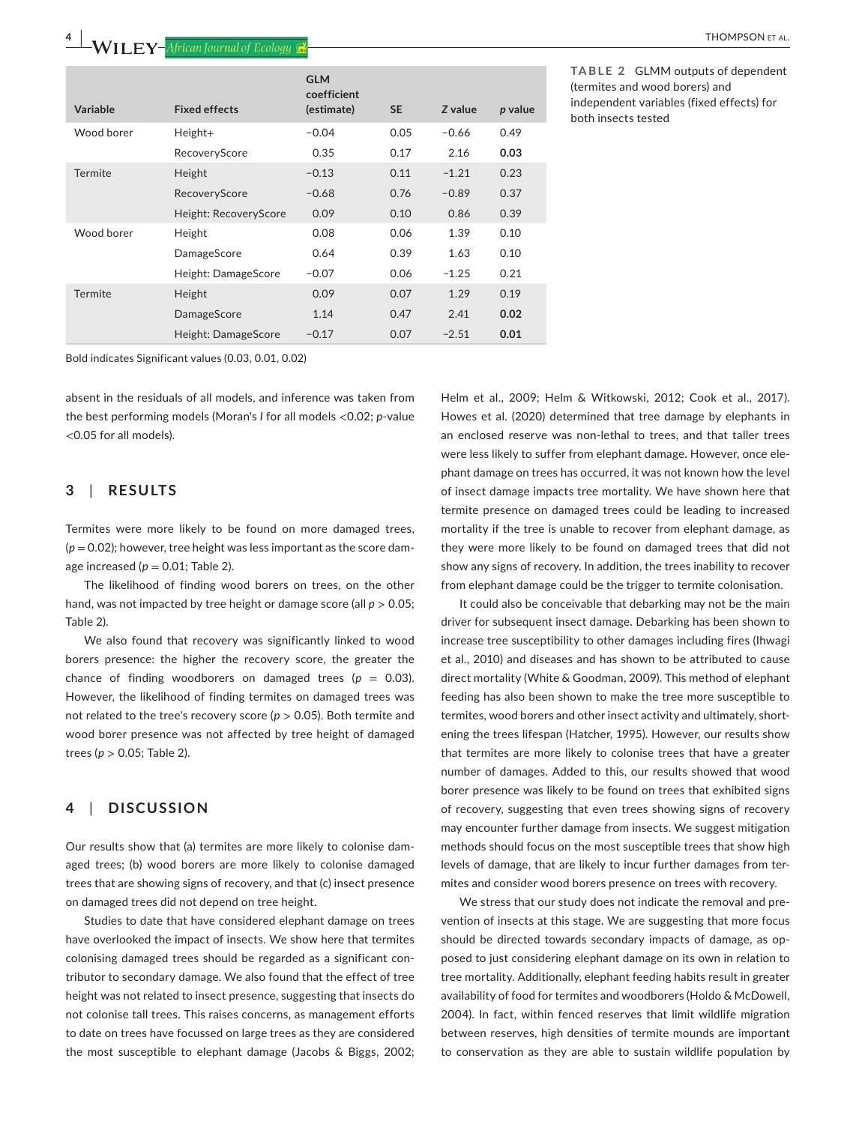|            |                       | <b>GLM</b><br>coefficient |           |         |         |
|------------|-----------------------|---------------------------|-----------|---------|---------|
| Variable   | <b>Fixed effects</b>  | (estimate)                | <b>SE</b> | Z value | p value |
| Wood borer | $Height+$             | $-0.04$                   | 0.05      | $-0.66$ | 0.49    |
|            | RecoveryScore         | 0.35                      | 0.17      | 2.16    | 0.03    |
| Termite    | Height                | $-0.13$                   | 0.11      | $-1.21$ | 0.23    |
|            | RecoveryScore         | $-0.68$                   | 0.76      | $-0.89$ | 0.37    |
|            | Height: RecoveryScore | 0.09                      | 0.10      | 0.86    | 0.39    |
| Wood borer | Height                | 0.08                      | 0.06      | 1.39    | 0.10    |
|            | DamageScore           | 0.64                      | 0.39      | 1.63    | 0.10    |
|            | Height: DamageScore   | $-0.07$                   | 0.06      | $-1.25$ | 0.21    |
| Termite    | Height                | 0.09                      | 0.07      | 1.29    | 0.19    |
|            | DamageScore           | 1.14                      | 0.47      | 2.41    | 0.02    |
|            | Height: DamageScore   | $-0.17$                   | 0.07      | $-2.51$ | 0.01    |

independent variables (fixed effects) for

both insects tested

Bold indicates Significant values (0.03, 0.01, 0.02)

absent in the residuals of all models, and inference was taken from the best performing models (Moran's *I* for all models <0.02; *p*-value <0.05 for all models).

## **3**  | **RESULTS**

Termites were more likely to be found on more damaged trees,  $(p = 0.02)$ ; however, tree height was less important as the score damage increased ( $p = 0.01$ ; Table 2).

The likelihood of finding wood borers on trees, on the other hand, was not impacted by tree height or damage score (all *p* > 0.05; Table 2).

We also found that recovery was significantly linked to wood borers presence: the higher the recovery score, the greater the chance of finding woodborers on damaged trees  $(p = 0.03)$ . However, the likelihood of finding termites on damaged trees was not related to the tree's recovery score (*p* > 0.05). Both termite and wood borer presence was not affected by tree height of damaged trees (*p* > 0.05; Table 2).

# **4**  | **DISCUSSION**

Our results show that (a) termites are more likely to colonise damaged trees; (b) wood borers are more likely to colonise damaged trees that are showing signs of recovery, and that (c) insect presence on damaged trees did not depend on tree height.

Studies to date that have considered elephant damage on trees have overlooked the impact of insects. We show here that termites colonising damaged trees should be regarded as a significant contributor to secondary damage. We also found that the effect of tree height was not related to insect presence, suggesting that insects do not colonise tall trees. This raises concerns, as management efforts to date on trees have focussed on large trees as they are considered the most susceptible to elephant damage (Jacobs & Biggs, 2002; Helm et al., 2009; Helm & Witkowski, 2012; Cook et al., 2017). Howes et al. (2020) determined that tree damage by elephants in an enclosed reserve was non-lethal to trees, and that taller trees were less likely to suffer from elephant damage. However, once elephant damage on trees has occurred, it was not known how the level of insect damage impacts tree mortality. We have shown here that termite presence on damaged trees could be leading to increased mortality if the tree is unable to recover from elephant damage, as they were more likely to be found on damaged trees that did not show any signs of recovery. In addition, the trees inability to recover from elephant damage could be the trigger to termite colonisation.

It could also be conceivable that debarking may not be the main driver for subsequent insect damage. Debarking has been shown to increase tree susceptibility to other damages including fires (Ihwagi et al., 2010) and diseases and has shown to be attributed to cause direct mortality (White & Goodman, 2009). This method of elephant feeding has also been shown to make the tree more susceptible to termites, wood borers and other insect activity and ultimately, shortening the trees lifespan (Hatcher, 1995). However, our results show that termites are more likely to colonise trees that have a greater number of damages. Added to this, our results showed that wood borer presence was likely to be found on trees that exhibited signs of recovery, suggesting that even trees showing signs of recovery may encounter further damage from insects. We suggest mitigation methods should focus on the most susceptible trees that show high levels of damage, that are likely to incur further damages from termites and consider wood borers presence on trees with recovery.

We stress that our study does not indicate the removal and prevention of insects at this stage. We are suggesting that more focus should be directed towards secondary impacts of damage, as opposed to just considering elephant damage on its own in relation to tree mortality. Additionally, elephant feeding habits result in greater availability of food for termites and woodborers (Holdo & McDowell, 2004). In fact, within fenced reserves that limit wildlife migration between reserves, high densities of termite mounds are important to conservation as they are able to sustain wildlife population by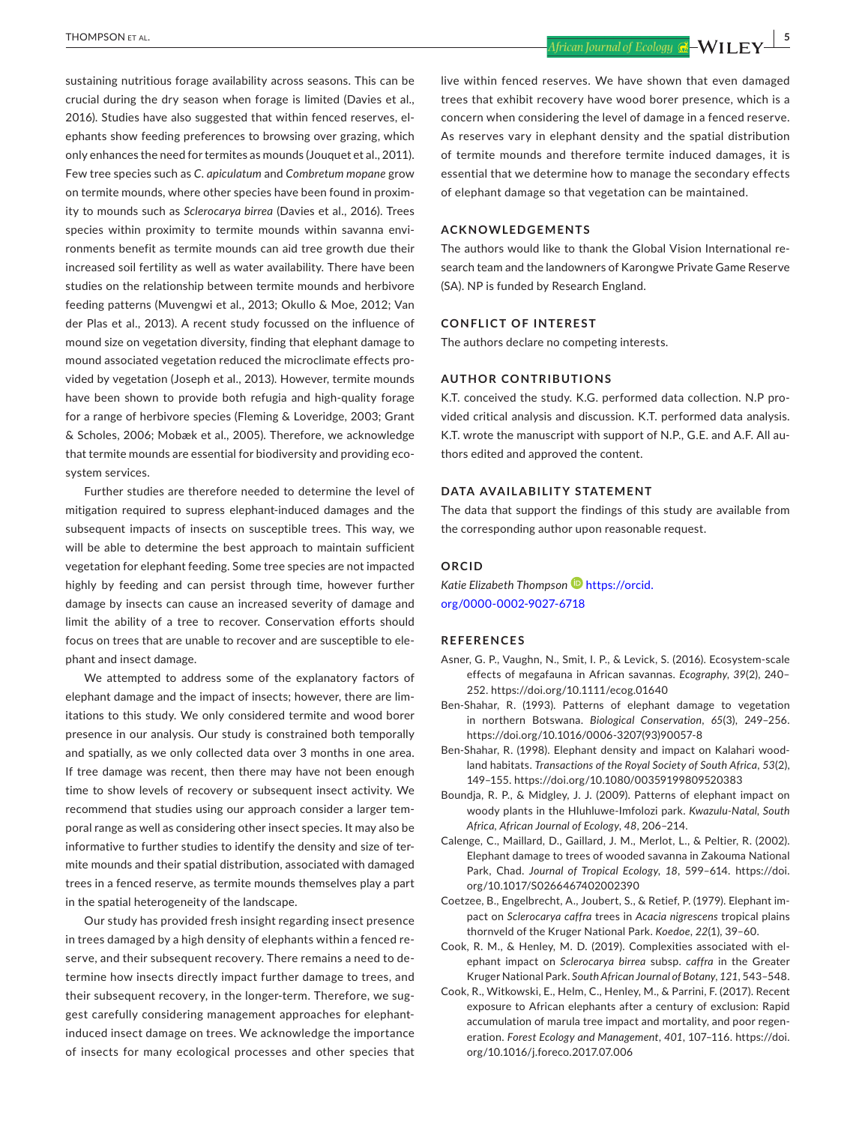sustaining nutritious forage availability across seasons. This can be crucial during the dry season when forage is limited (Davies et al., 2016). Studies have also suggested that within fenced reserves, elephants show feeding preferences to browsing over grazing, which only enhances the need for termites as mounds (Jouquet et al., 2011). Few tree species such as *C*. *apiculatum* and *Combretum mopane* grow on termite mounds, where other species have been found in proximity to mounds such as *Sclerocarya birrea* (Davies et al., 2016). Trees species within proximity to termite mounds within savanna environments benefit as termite mounds can aid tree growth due their increased soil fertility as well as water availability. There have been studies on the relationship between termite mounds and herbivore feeding patterns (Muvengwi et al., 2013; Okullo & Moe, 2012; Van der Plas et al., 2013). A recent study focussed on the influence of mound size on vegetation diversity, finding that elephant damage to mound associated vegetation reduced the microclimate effects provided by vegetation (Joseph et al., 2013). However, termite mounds have been shown to provide both refugia and high-quality forage for a range of herbivore species (Fleming & Loveridge, 2003; Grant & Scholes, 2006; Mobæk et al., 2005). Therefore, we acknowledge that termite mounds are essential for biodiversity and providing ecosystem services.

Further studies are therefore needed to determine the level of mitigation required to supress elephant-induced damages and the subsequent impacts of insects on susceptible trees. This way, we will be able to determine the best approach to maintain sufficient vegetation for elephant feeding. Some tree species are not impacted highly by feeding and can persist through time, however further damage by insects can cause an increased severity of damage and limit the ability of a tree to recover. Conservation efforts should focus on trees that are unable to recover and are susceptible to elephant and insect damage.

We attempted to address some of the explanatory factors of elephant damage and the impact of insects; however, there are limitations to this study. We only considered termite and wood borer presence in our analysis. Our study is constrained both temporally and spatially, as we only collected data over 3 months in one area. If tree damage was recent, then there may have not been enough time to show levels of recovery or subsequent insect activity. We recommend that studies using our approach consider a larger temporal range as well as considering other insect species. It may also be informative to further studies to identify the density and size of termite mounds and their spatial distribution, associated with damaged trees in a fenced reserve, as termite mounds themselves play a part in the spatial heterogeneity of the landscape.

Our study has provided fresh insight regarding insect presence in trees damaged by a high density of elephants within a fenced reserve, and their subsequent recovery. There remains a need to determine how insects directly impact further damage to trees, and their subsequent recovery, in the longer-term. Therefore, we suggest carefully considering management approaches for elephantinduced insect damage on trees. We acknowledge the importance of insects for many ecological processes and other species that

 **THOMPSON** ET AL.  $\begin{array}{|c|c|c|c|c|}\hline \text{African Journal of Ecology & \bf{C2} & \bf{WII} & \bf{FV} & \bf{5} \ \hline \end{array}$ 

live within fenced reserves. We have shown that even damaged trees that exhibit recovery have wood borer presence, which is a concern when considering the level of damage in a fenced reserve. As reserves vary in elephant density and the spatial distribution of termite mounds and therefore termite induced damages, it is essential that we determine how to manage the secondary effects of elephant damage so that vegetation can be maintained.

### **ACKNOWLEDGEMENTS**

The authors would like to thank the Global Vision International research team and the landowners of Karongwe Private Game Reserve (SA). NP is funded by Research England.

#### **CONFLICT OF INTEREST**

The authors declare no competing interests.

#### **AUTHOR CONTRIBUTIONS**

K.T. conceived the study. K.G. performed data collection. N.P provided critical analysis and discussion. K.T. performed data analysis. K.T. wrote the manuscript with support of N.P., G.E. and A.F. All authors edited and approved the content.

## **DATA AVAILABILITY STATEMENT**

The data that support the findings of this study are available from the corresponding author upon reasonable request.

#### **ORCID**

*Katie Elizabeth Thompson* [https://orcid.](https://orcid.org/0000-0002-9027-6718) [org/0000-0002-9027-6718](https://orcid.org/0000-0002-9027-6718)

#### **REFERENCES**

- Asner, G. P., Vaughn, N., Smit, I. P., & Levick, S. (2016). Ecosystem-scale effects of megafauna in African savannas. *Ecography*, *39*(2), 240– 252. <https://doi.org/10.1111/ecog.01640>
- Ben-Shahar, R. (1993). Patterns of elephant damage to vegetation in northern Botswana. *Biological Conservation*, *65*(3), 249–256. [https://doi.org/10.1016/0006-3207\(93\)90057-8](https://doi.org/10.1016/0006-3207(93)90057-8)
- Ben-Shahar, R. (1998). Elephant density and impact on Kalahari woodland habitats. *Transactions of the Royal Society of South Africa*, *53*(2), 149–155. <https://doi.org/10.1080/00359199809520383>
- Boundja, R. P., & Midgley, J. J. (2009). Patterns of elephant impact on woody plants in the Hluhluwe-Imfolozi park. *Kwazulu-Natal, South Africa, African Journal of Ecology*, *48*, 206–214.
- Calenge, C., Maillard, D., Gaillard, J. M., Merlot, L., & Peltier, R. (2002). Elephant damage to trees of wooded savanna in Zakouma National Park, Chad. *Journal of Tropical Ecology*, *18*, 599–614. [https://doi.](https://doi.org/10.1017/S0266467402002390) [org/10.1017/S0266467402002390](https://doi.org/10.1017/S0266467402002390)
- Coetzee, B., Engelbrecht, A., Joubert, S., & Retief, P. (1979). Elephant impact on *Sclerocarya caffra* trees in *Acacia nigrescens* tropical plains thornveld of the Kruger National Park. *Koedoe*, *22*(1), 39–60.
- Cook, R. M., & Henley, M. D. (2019). Complexities associated with elephant impact on *Sclerocarya birrea* subsp. *caffra* in the Greater Kruger National Park. *South African Journal of Botany*, *121*, 543–548.
- Cook, R., Witkowski, E., Helm, C., Henley, M., & Parrini, F. (2017). Recent exposure to African elephants after a century of exclusion: Rapid accumulation of marula tree impact and mortality, and poor regeneration. *Forest Ecology and Management*, *401*, 107–116. [https://doi.](https://doi.org/10.1016/j.foreco.2017.07.006) [org/10.1016/j.foreco.2017.07.006](https://doi.org/10.1016/j.foreco.2017.07.006)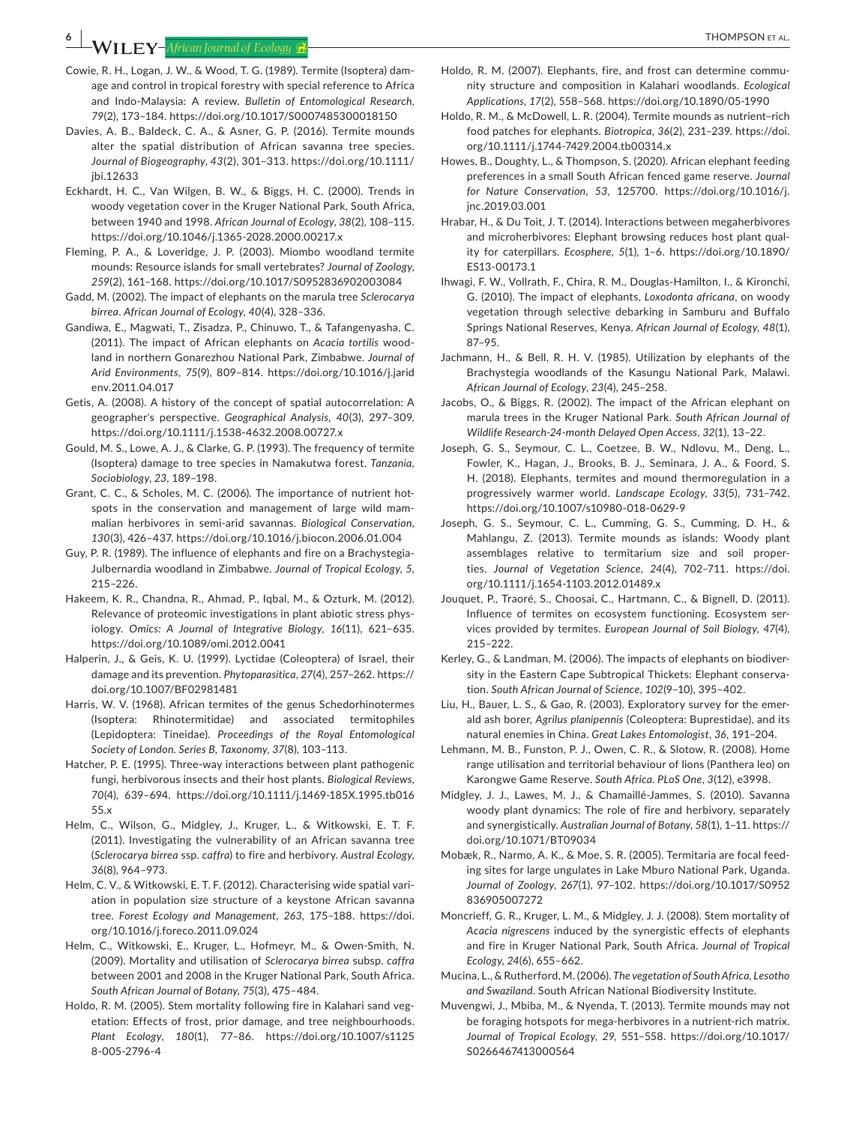**6 <sup>|</sup>**  THOMPSON et al.

- Cowie, R. H., Logan, J. W., & Wood, T. G. (1989). Termite (Isoptera) damage and control in tropical forestry with special reference to Africa and Indo-Malaysia: A review. *Bulletin of Entomological Research*, *79*(2), 173–184.<https://doi.org/10.1017/S0007485300018150>
- Davies, A. B., Baldeck, C. A., & Asner, G. P. (2016). Termite mounds alter the spatial distribution of African savanna tree species. *Journal of Biogeography*, *43*(2), 301–313. [https://doi.org/10.1111/](https://doi.org/10.1111/jbi.12633) [jbi.12633](https://doi.org/10.1111/jbi.12633)
- Eckhardt, H. C., Van Wilgen, B. W., & Biggs, H. C. (2000). Trends in woody vegetation cover in the Kruger National Park, South Africa, between 1940 and 1998. *African Journal of Ecology*, *38*(2), 108–115. <https://doi.org/10.1046/j.1365-2028.2000.00217.x>
- Fleming, P. A., & Loveridge, J. P. (2003). Miombo woodland termite mounds: Resource islands for small vertebrates? *Journal of Zoology*, *259*(2), 161–168.<https://doi.org/10.1017/S0952836902003084>
- Gadd, M. (2002). The impact of elephants on the marula tree *Sclerocarya birrea*. *African Journal of Ecology*, *40*(4), 328–336.
- Gandiwa, E., Magwati, T., Zisadza, P., Chinuwo, T., & Tafangenyasha, C. (2011). The impact of African elephants on *Acacia tortilis* woodland in northern Gonarezhou National Park, Zimbabwe. *Journal of Arid Environments*, *75*(9), 809–814. [https://doi.org/10.1016/j.jarid](https://doi.org/10.1016/j.jaridenv.2011.04.017) [env.2011.04.017](https://doi.org/10.1016/j.jaridenv.2011.04.017)
- Getis, A. (2008). A history of the concept of spatial autocorrelation: A geographer's perspective. *Geographical Analysis*, *40*(3), 297–309. <https://doi.org/10.1111/j.1538-4632.2008.00727.x>
- Gould, M. S., Lowe, A. J., & Clarke, G. P. (1993). The frequency of termite (Isoptera) damage to tree species in Namakutwa forest. *Tanzania, Sociobiology*, *23*, 189–198.
- Grant, C. C., & Scholes, M. C. (2006). The importance of nutrient hotspots in the conservation and management of large wild mammalian herbivores in semi-arid savannas. *Biological Conservation*, *130*(3), 426–437. <https://doi.org/10.1016/j.biocon.2006.01.004>
- Guy, P. R. (1989). The influence of elephants and fire on a Brachystegia-Julbernardia woodland in Zimbabwe. *Journal of Tropical Ecology*, *5*, 215–226.
- Hakeem, K. R., Chandna, R., Ahmad, P., Iqbal, M., & Ozturk, M. (2012). Relevance of proteomic investigations in plant abiotic stress physiology. *Omics: A Journal of Integrative Biology*, *16*(11), 621–635. <https://doi.org/10.1089/omi.2012.0041>
- Halperin, J., & Geis, K. U. (1999). Lyctidae (Coleoptera) of Israel, their damage and its prevention. *Phytoparasitica*, *27*(4), 257–262. [https://](https://doi.org/10.1007/BF02981481) [doi.org/10.1007/BF02981481](https://doi.org/10.1007/BF02981481)
- Harris, W. V. (1968). African termites of the genus Schedorhinotermes (Isoptera: Rhinotermitidae) and associated termitophiles (Lepidoptera: Tineidae). *Proceedings of the Royal Entomological Society of London. Series B, Taxonomy*, *37*(8), 103–113.
- Hatcher, P. E. (1995). Three-way interactions between plant pathogenic fungi, herbivorous insects and their host plants. *Biological Reviews*, *70*(4), 639–694. [https://doi.org/10.1111/j.1469-185X.1995.tb016](https://doi.org/10.1111/j.1469-185X.1995.tb01655.x) [55.x](https://doi.org/10.1111/j.1469-185X.1995.tb01655.x)
- Helm, C., Wilson, G., Midgley, J., Kruger, L., & Witkowski, E. T. F. (2011). Investigating the vulnerability of an African savanna tree (*Sclerocarya birrea* ssp. *caffra*) to fire and herbivory. *Austral Ecology*, *36*(8), 964–973.
- Helm, C. V., & Witkowski, E. T. F. (2012). Characterising wide spatial variation in population size structure of a keystone African savanna tree. *Forest Ecology and Management*, *263*, 175–188. [https://doi.](https://doi.org/10.1016/j.foreco.2011.09.024) [org/10.1016/j.foreco.2011.09.024](https://doi.org/10.1016/j.foreco.2011.09.024)
- Helm, C., Witkowski, E., Kruger, L., Hofmeyr, M., & Owen-Smith, N. (2009). Mortality and utilisation of *Sclerocarya birrea* subsp. *caffra* between 2001 and 2008 in the Kruger National Park, South Africa. *South African Journal of Botany*, *75*(3), 475–484.
- Holdo, R. M. (2005). Stem mortality following fire in Kalahari sand vegetation: Effects of frost, prior damage, and tree neighbourhoods. *Plant Ecology*, *180*(1), 77–86. [https://doi.org/10.1007/s1125](https://doi.org/10.1007/s11258-005-2796-4) [8-005-2796-4](https://doi.org/10.1007/s11258-005-2796-4)
- Holdo, R. M. (2007). Elephants, fire, and frost can determine community structure and composition in Kalahari woodlands. *Ecological Applications*, *17*(2), 558–568.<https://doi.org/10.1890/05-1990>
- Holdo, R. M., & McDowell, L. R. (2004). Termite mounds as nutrient–rich food patches for elephants. *Biotropica*, *36*(2), 231–239. [https://doi.](https://doi.org/10.1111/j.1744-7429.2004.tb00314.x) [org/10.1111/j.1744-7429.2004.tb00314.x](https://doi.org/10.1111/j.1744-7429.2004.tb00314.x)
- Howes, B., Doughty, L., & Thompson, S. (2020). African elephant feeding preferences in a small South African fenced game reserve. *Journal for Nature Conservation*, *53*, 125700. [https://doi.org/10.1016/j.](https://doi.org/10.1016/j.jnc.2019.03.001) [jnc.2019.03.001](https://doi.org/10.1016/j.jnc.2019.03.001)
- Hrabar, H., & Du Toit, J. T. (2014). Interactions between megaherbivores and microherbivores: Elephant browsing reduces host plant quality for caterpillars. *Ecosphere*, *5*(1), 1–6. [https://doi.org/10.1890/](https://doi.org/10.1890/ES13-00173.1) [ES13-00173.1](https://doi.org/10.1890/ES13-00173.1)
- Ihwagi, F. W., Vollrath, F., Chira, R. M., Douglas-Hamilton, I., & Kironchi, G. (2010). The impact of elephants, *Loxodonta africana*, on woody vegetation through selective debarking in Samburu and Buffalo Springs National Reserves, Kenya. *African Journal of Ecology*, *48*(1), 87–95.
- Jachmann, H., & Bell, R. H. V. (1985). Utilization by elephants of the Brachystegia woodlands of the Kasungu National Park, Malawi. *African Journal of Ecology*, *23*(4), 245–258.
- Jacobs, O., & Biggs, R. (2002). The impact of the African elephant on marula trees in the Kruger National Park. *South African Journal of Wildlife Research-24-month Delayed Open Access*, *32*(1), 13–22.
- Joseph, G. S., Seymour, C. L., Coetzee, B. W., Ndlovu, M., Deng, L., Fowler, K., Hagan, J., Brooks, B. J., Seminara, J. A., & Foord, S. H. (2018). Elephants, termites and mound thermoregulation in a progressively warmer world. *Landscape Ecology*, *33*(5), 731–742. <https://doi.org/10.1007/s10980-018-0629-9>
- Joseph, G. S., Seymour, C. L., Cumming, G. S., Cumming, D. H., & Mahlangu, Z. (2013). Termite mounds as islands: Woody plant assemblages relative to termitarium size and soil properties. *Journal of Vegetation Science*, *24*(4), 702–711. [https://doi.](https://doi.org/10.1111/j.1654-1103.2012.01489.x) [org/10.1111/j.1654-1103.2012.01489.x](https://doi.org/10.1111/j.1654-1103.2012.01489.x)
- Jouquet, P., Traoré, S., Choosai, C., Hartmann, C., & Bignell, D. (2011). Influence of termites on ecosystem functioning. Ecosystem services provided by termites. *European Journal of Soil Biology*, *47*(4), 215–222.
- Kerley, G., & Landman, M. (2006). The impacts of elephants on biodiversity in the Eastern Cape Subtropical Thickets: Elephant conservation. *South African Journal of Science*, *102*(9–10), 395–402.
- Liu, H., Bauer, L. S., & Gao, R. (2003). Exploratory survey for the emerald ash borer, *Agrilus planipennis* (Coleoptera: Buprestidae), and its natural enemies in China. *Great Lakes Entomologist*, *36*, 191–204.
- Lehmann, M. B., Funston, P. J., Owen, C. R., & Slotow, R. (2008). Home range utilisation and territorial behaviour of lions (Panthera leo) on Karongwe Game Reserve. *South Africa. PLoS One*, *3*(12), e3998.
- Midgley, J. J., Lawes, M. J., & Chamaillé-Jammes, S. (2010). Savanna woody plant dynamics: The role of fire and herbivory, separately and synergistically. *Australian Journal of Botany*, *58*(1), 1–11. [https://](https://doi.org/10.1071/BT09034) [doi.org/10.1071/BT09034](https://doi.org/10.1071/BT09034)
- Mobæk, R., Narmo, A. K., & Moe, S. R. (2005). Termitaria are focal feeding sites for large ungulates in Lake Mburo National Park, Uganda. *Journal of Zoology*, *267*(1), 97–102. [https://doi.org/10.1017/S0952](https://doi.org/10.1017/S0952836905007272) [836905007272](https://doi.org/10.1017/S0952836905007272)
- Moncrieff, G. R., Kruger, L. M., & Midgley, J. J. (2008). Stem mortality of *Acacia nigrescens* induced by the synergistic effects of elephants and fire in Kruger National Park, South Africa. *Journal of Tropical Ecology*, *24*(6), 655–662.
- Mucina, L., & Rutherford, M. (2006). *The vegetation of South Africa, Lesotho and Swaziland*. South African National Biodiversity Institute.
- Muvengwi, J., Mbiba, M., & Nyenda, T. (2013). Termite mounds may not be foraging hotspots for mega-herbivores in a nutrient-rich matrix. *Journal of Tropical Ecology*, *29*, 551–558. [https://doi.org/10.1017/](https://doi.org/10.1017/S0266467413000564) [S0266467413000564](https://doi.org/10.1017/S0266467413000564)